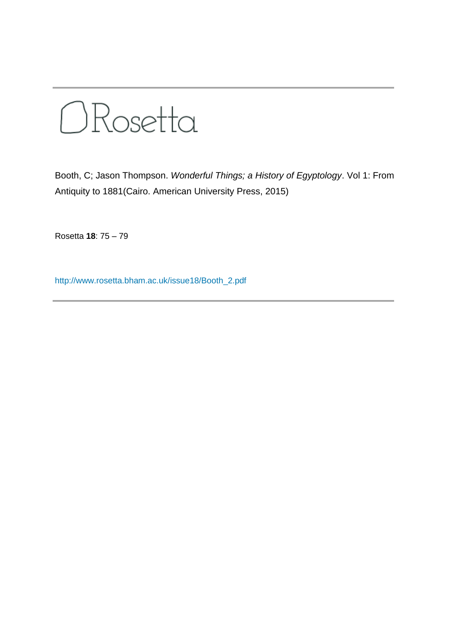

Booth, C; Jason Thompson. *Wonderful Things; a History of Egyptology*. Vol 1: From Antiquity to 1881(Cairo. American University Press, 2015)

Rosetta **18**: 75 – 79

[http://www.rosetta.bham.ac.uk/issue18/Booth\\_2.pdf](http://www.rosetta.bham.ac.uk/issue18/Booth_2.pdf)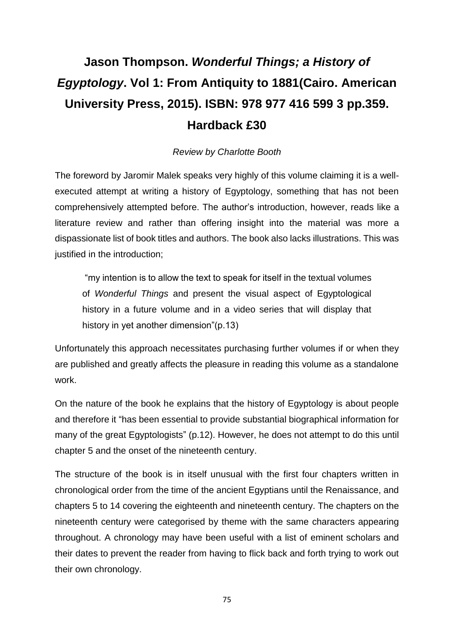## **Jason Thompson.** *Wonderful Things; a History of Egyptology***. Vol 1: From Antiquity to 1881(Cairo. American University Press, 2015). ISBN: 978 977 416 599 3 pp.359. Hardback £30**

## *Review by Charlotte Booth*

The foreword by Jaromir Malek speaks very highly of this volume claiming it is a wellexecuted attempt at writing a history of Egyptology, something that has not been comprehensively attempted before. The author's introduction, however, reads like a literature review and rather than offering insight into the material was more a dispassionate list of book titles and authors. The book also lacks illustrations. This was justified in the introduction;

"my intention is to allow the text to speak for itself in the textual volumes of *Wonderful Things* and present the visual aspect of Egyptological history in a future volume and in a video series that will display that history in yet another dimension"(p.13)

Unfortunately this approach necessitates purchasing further volumes if or when they are published and greatly affects the pleasure in reading this volume as a standalone work.

On the nature of the book he explains that the history of Egyptology is about people and therefore it "has been essential to provide substantial biographical information for many of the great Egyptologists" (p.12). However, he does not attempt to do this until chapter 5 and the onset of the nineteenth century.

The structure of the book is in itself unusual with the first four chapters written in chronological order from the time of the ancient Egyptians until the Renaissance, and chapters 5 to 14 covering the eighteenth and nineteenth century. The chapters on the nineteenth century were categorised by theme with the same characters appearing throughout. A chronology may have been useful with a list of eminent scholars and their dates to prevent the reader from having to flick back and forth trying to work out their own chronology.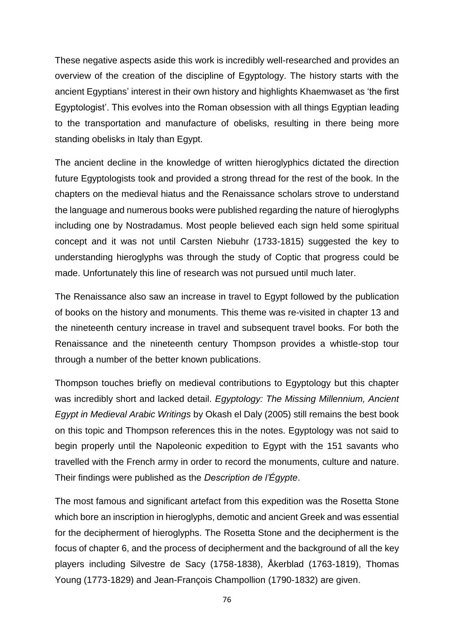These negative aspects aside this work is incredibly well-researched and provides an overview of the creation of the discipline of Egyptology. The history starts with the ancient Egyptians' interest in their own history and highlights Khaemwaset as 'the first Egyptologist'. This evolves into the Roman obsession with all things Egyptian leading to the transportation and manufacture of obelisks, resulting in there being more standing obelisks in Italy than Egypt.

The ancient decline in the knowledge of written hieroglyphics dictated the direction future Egyptologists took and provided a strong thread for the rest of the book. In the chapters on the medieval hiatus and the Renaissance scholars strove to understand the language and numerous books were published regarding the nature of hieroglyphs including one by Nostradamus. Most people believed each sign held some spiritual concept and it was not until Carsten Niebuhr (1733-1815) suggested the key to understanding hieroglyphs was through the study of Coptic that progress could be made. Unfortunately this line of research was not pursued until much later.

The Renaissance also saw an increase in travel to Egypt followed by the publication of books on the history and monuments. This theme was re-visited in chapter 13 and the nineteenth century increase in travel and subsequent travel books. For both the Renaissance and the nineteenth century Thompson provides a whistle-stop tour through a number of the better known publications.

Thompson touches briefly on medieval contributions to Egyptology but this chapter was incredibly short and lacked detail. *Egyptology: The Missing Millennium, Ancient Egypt in Medieval Arabic Writings* by Okash el Daly (2005) still remains the best book on this topic and Thompson references this in the notes. Egyptology was not said to begin properly until the Napoleonic expedition to Egypt with the 151 savants who travelled with the French army in order to record the monuments, culture and nature. Their findings were published as the *Description de l'Égypte*.

The most famous and significant artefact from this expedition was the Rosetta Stone which bore an inscription in hieroglyphs, demotic and ancient Greek and was essential for the decipherment of hieroglyphs. The Rosetta Stone and the decipherment is the focus of chapter 6, and the process of decipherment and the background of all the key players including Silvestre de Sacy (1758-1838), Åkerblad (1763-1819), Thomas Young (1773-1829) and Jean-François Champollion (1790-1832) are given.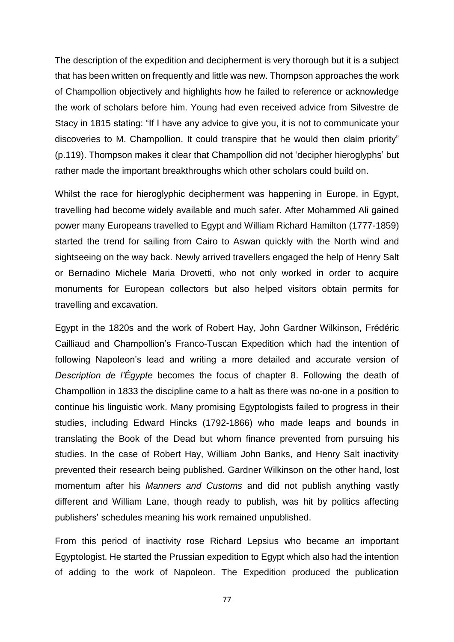The description of the expedition and decipherment is very thorough but it is a subject that has been written on frequently and little was new. Thompson approaches the work of Champollion objectively and highlights how he failed to reference or acknowledge the work of scholars before him. Young had even received advice from Silvestre de Stacy in 1815 stating: "If I have any advice to give you, it is not to communicate your discoveries to M. Champollion. It could transpire that he would then claim priority" (p.119). Thompson makes it clear that Champollion did not 'decipher hieroglyphs' but rather made the important breakthroughs which other scholars could build on.

Whilst the race for hieroglyphic decipherment was happening in Europe, in Egypt, travelling had become widely available and much safer. After Mohammed Ali gained power many Europeans travelled to Egypt and William Richard Hamilton (1777-1859) started the trend for sailing from Cairo to Aswan quickly with the North wind and sightseeing on the way back. Newly arrived travellers engaged the help of Henry Salt or Bernadino Michele Maria Drovetti, who not only worked in order to acquire monuments for European collectors but also helped visitors obtain permits for travelling and excavation.

Egypt in the 1820s and the work of Robert Hay, John Gardner Wilkinson, Frédéric Cailliaud and Champollion's Franco-Tuscan Expedition which had the intention of following Napoleon's lead and writing a more detailed and accurate version of *Description de l'Égypte* becomes the focus of chapter 8. Following the death of Champollion in 1833 the discipline came to a halt as there was no-one in a position to continue his linguistic work. Many promising Egyptologists failed to progress in their studies, including Edward Hincks (1792-1866) who made leaps and bounds in translating the Book of the Dead but whom finance prevented from pursuing his studies. In the case of Robert Hay, William John Banks, and Henry Salt inactivity prevented their research being published. Gardner Wilkinson on the other hand, lost momentum after his *Manners and Customs* and did not publish anything vastly different and William Lane, though ready to publish, was hit by politics affecting publishers' schedules meaning his work remained unpublished.

From this period of inactivity rose Richard Lepsius who became an important Egyptologist. He started the Prussian expedition to Egypt which also had the intention of adding to the work of Napoleon. The Expedition produced the publication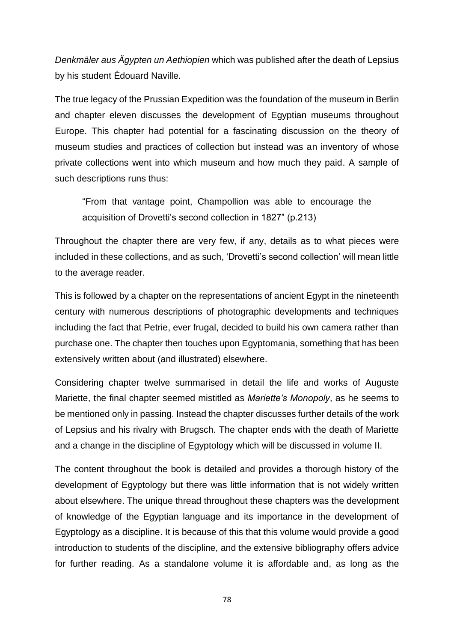*Denkmäler aus Ägypten un Aethiopien* which was published after the death of Lepsius by his student Édouard Naville.

The true legacy of the Prussian Expedition was the foundation of the museum in Berlin and chapter eleven discusses the development of Egyptian museums throughout Europe. This chapter had potential for a fascinating discussion on the theory of museum studies and practices of collection but instead was an inventory of whose private collections went into which museum and how much they paid. A sample of such descriptions runs thus:

"From that vantage point, Champollion was able to encourage the acquisition of Drovetti's second collection in 1827" (p.213)

Throughout the chapter there are very few, if any, details as to what pieces were included in these collections, and as such, 'Drovetti's second collection' will mean little to the average reader.

This is followed by a chapter on the representations of ancient Egypt in the nineteenth century with numerous descriptions of photographic developments and techniques including the fact that Petrie, ever frugal, decided to build his own camera rather than purchase one. The chapter then touches upon Egyptomania, something that has been extensively written about (and illustrated) elsewhere.

Considering chapter twelve summarised in detail the life and works of Auguste Mariette, the final chapter seemed mistitled as *Mariette's Monopoly*, as he seems to be mentioned only in passing. Instead the chapter discusses further details of the work of Lepsius and his rivalry with Brugsch. The chapter ends with the death of Mariette and a change in the discipline of Egyptology which will be discussed in volume II.

The content throughout the book is detailed and provides a thorough history of the development of Egyptology but there was little information that is not widely written about elsewhere. The unique thread throughout these chapters was the development of knowledge of the Egyptian language and its importance in the development of Egyptology as a discipline. It is because of this that this volume would provide a good introduction to students of the discipline, and the extensive bibliography offers advice for further reading. As a standalone volume it is affordable and, as long as the